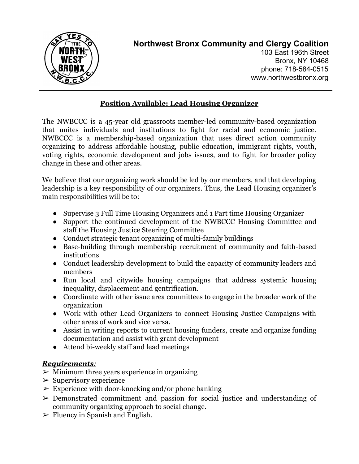

## **Northwest Bronx Community and Clergy Coalition**

103 East 196th Street Bronx, NY 10468 phone: 718-584-0515 www.northwestbronx.org

## **Position Available: Lead Housing Organizer**

The NWBCCC is a 45-year old grassroots member-led community-based organization that unites individuals and institutions to fight for racial and economic justice. NWBCCC is a membership-based organization that uses direct action community organizing to address affordable housing, public education, immigrant rights, youth, voting rights, economic development and jobs issues, and to fight for broader policy change in these and other areas.

We believe that our organizing work should be led by our members, and that developing leadership is a key responsibility of our organizers. Thus, the Lead Housing organizer's main responsibilities will be to:

- Supervise 3 Full Time Housing Organizers and 1 Part time Housing Organizer
- Support the continued development of the NWBCCC Housing Committee and staff the Housing Justice Steering Committee
- Conduct strategic tenant organizing of multi-family buildings
- Base-building through membership recruitment of community and faith-based institutions
- Conduct leadership development to build the capacity of community leaders and members
- Run local and citywide housing campaigns that address systemic housing inequality, displacement and gentrification.
- Coordinate with other issue area committees to engage in the broader work of the organization
- Work with other Lead Organizers to connect Housing Justice Campaigns with other areas of work and vice versa.
- Assist in writing reports to current housing funders, create and organize funding documentation and assist with grant development
- Attend bi-weekly staff and lead meetings

## *Requirements:*

- $\triangleright$  Minimum three years experience in organizing
- $\triangleright$  Supervisory experience
- $\triangleright$  Experience with door-knocking and/or phone banking
- ➢ Demonstrated commitment and passion for social justice and understanding of community organizing approach to social change.
- $\triangleright$  Fluency in Spanish and English.